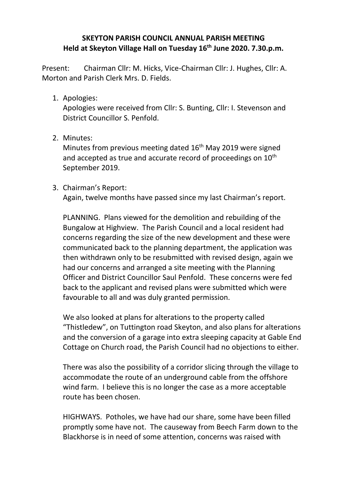## **SKEYTON PARISH COUNCIL ANNUAL PARISH MEETING Held at Skeyton Village Hall on Tuesday 16th June 2020. 7.30.p.m.**

Present: Chairman Cllr: M. Hicks, Vice-Chairman Cllr: J. Hughes, Cllr: A. Morton and Parish Clerk Mrs. D. Fields.

1. Apologies:

Apologies were received from Cllr: S. Bunting, Cllr: I. Stevenson and District Councillor S. Penfold.

2. Minutes:

Minutes from previous meeting dated 16<sup>th</sup> May 2019 were signed and accepted as true and accurate record of proceedings on 10<sup>th</sup> September 2019.

3. Chairman's Report:

Again, twelve months have passed since my last Chairman's report.

PLANNING. Plans viewed for the demolition and rebuilding of the Bungalow at Highview. The Parish Council and a local resident had concerns regarding the size of the new development and these were communicated back to the planning department, the application was then withdrawn only to be resubmitted with revised design, again we had our concerns and arranged a site meeting with the Planning Officer and District Councillor Saul Penfold. These concerns were fed back to the applicant and revised plans were submitted which were favourable to all and was duly granted permission.

We also looked at plans for alterations to the property called "Thistledew", on Tuttington road Skeyton, and also plans for alterations and the conversion of a garage into extra sleeping capacity at Gable End Cottage on Church road, the Parish Council had no objections to either.

There was also the possibility of a corridor slicing through the village to accommodate the route of an underground cable from the offshore wind farm. I believe this is no longer the case as a more acceptable route has been chosen.

HIGHWAYS. Potholes, we have had our share, some have been filled promptly some have not. The causeway from Beech Farm down to the Blackhorse is in need of some attention, concerns was raised with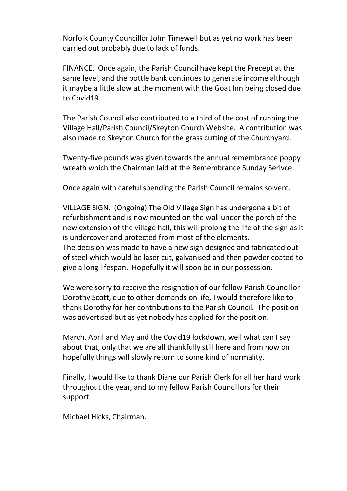Norfolk County Councillor John Timewell but as yet no work has been carried out probably due to lack of funds.

FINANCE. Once again, the Parish Council have kept the Precept at the same level, and the bottle bank continues to generate income although it maybe a little slow at the moment with the Goat Inn being closed due to Covid19.

The Parish Council also contributed to a third of the cost of running the Village Hall/Parish Council/Skeyton Church Website. A contribution was also made to Skeyton Church for the grass cutting of the Churchyard.

Twenty-five pounds was given towards the annual remembrance poppy wreath which the Chairman laid at the Remembrance Sunday Serivce.

Once again with careful spending the Parish Council remains solvent.

VILLAGE SIGN. (Ongoing) The Old Village Sign has undergone a bit of refurbishment and is now mounted on the wall under the porch of the new extension of the village hall, this will prolong the life of the sign as it is undercover and protected from most of the elements. The decision was made to have a new sign designed and fabricated out

of steel which would be laser cut, galvanised and then powder coated to give a long lifespan. Hopefully it will soon be in our possession.

We were sorry to receive the resignation of our fellow Parish Councillor Dorothy Scott, due to other demands on life, I would therefore like to thank Dorothy for her contributions to the Parish Council. The position was advertised but as yet nobody has applied for the position.

March, April and May and the Covid19 lockdown, well what can I say about that, only that we are all thankfully still here and from now on hopefully things will slowly return to some kind of normality.

Finally, I would like to thank Diane our Parish Clerk for all her hard work throughout the year, and to my fellow Parish Councillors for their support.

Michael Hicks, Chairman.